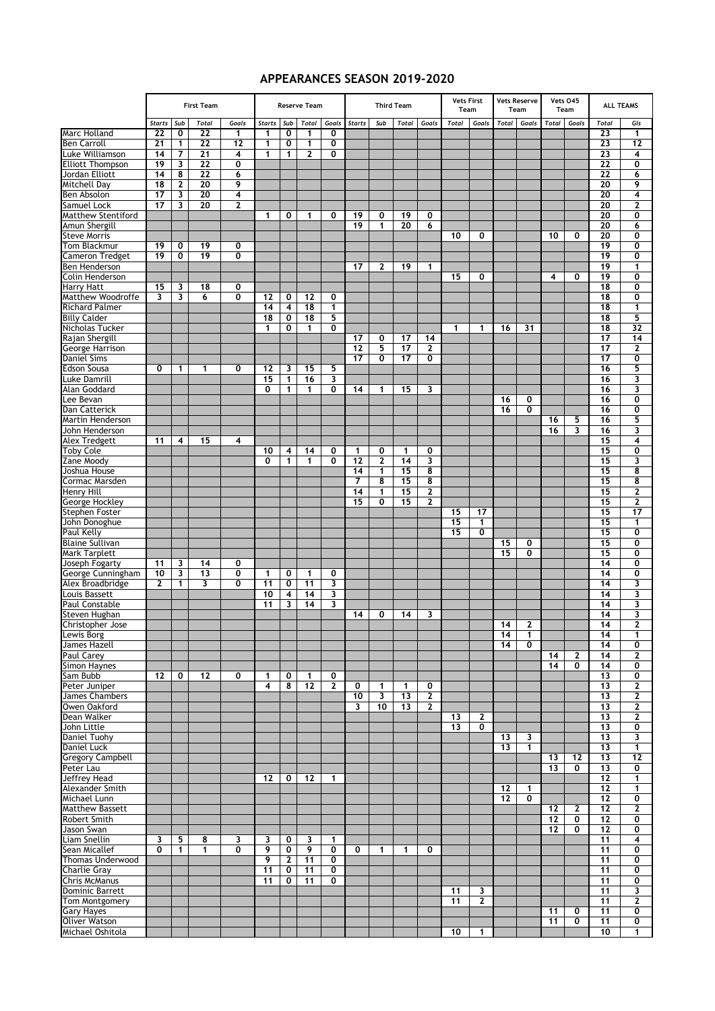## **APPEARANCES SEASON 2019-2020**

|                                          |                 | <b>First Team</b> | <b>Reserve Team</b> |                |                         |                         | <b>Third Team</b> |                         |               |                         | <b>Vets First</b><br>Team |                | <b>Vets Reserve</b><br>Team |                   | Vets 045<br>Team |              | <b>ALL TEAMS</b> |              |                 |                         |
|------------------------------------------|-----------------|-------------------|---------------------|----------------|-------------------------|-------------------------|-------------------|-------------------------|---------------|-------------------------|---------------------------|----------------|-----------------------------|-------------------|------------------|--------------|------------------|--------------|-----------------|-------------------------|
|                                          | <b>Starts</b>   | Sub               | <b>Total</b>        | Goals          | Starts Sub              |                         | Total             | Goals                   | <b>Starts</b> | Sub                     | <b>Total</b>              | Goals          | Total                       | Goals             | <b>Total</b>     | Goals        | Total            | Goals        | <b>Total</b>    | Gls                     |
| <b>Marc Holland</b>                      | $\overline{22}$ | 0                 | $\overline{22}$     | 1              | 1                       | 0                       | 1                 | 0                       |               |                         |                           |                |                             |                   |                  |              |                  |              | 23              | 1                       |
| <b>Ben Carroll</b>                       | 21              | 1                 | $\overline{22}$     | 12             | 1                       | 0                       | 1                 | 0                       |               |                         |                           |                |                             |                   |                  |              |                  |              | 23              | 12                      |
| Luke Williamson                          | 14              | 7                 | 21                  | 4              | $\mathbf{1}$            | 1                       | 2                 | 0                       |               |                         |                           |                |                             |                   |                  |              |                  |              | 23              | 4                       |
| <b>Elliott Thompson</b>                  | 19              | 3                 | 22                  | 0              |                         |                         |                   |                         |               |                         |                           |                |                             |                   |                  |              |                  |              | 22              | 0                       |
| Jordan Elliott                           | 14              | 8                 | 22                  | 6              |                         |                         |                   |                         |               |                         |                           |                |                             |                   |                  |              |                  |              | 22              | 6                       |
| Mitchell Day                             | 18              | 2                 | 20                  | 9              |                         |                         |                   |                         |               |                         |                           |                |                             |                   |                  |              |                  |              | 20              | 9                       |
| Ben Absolon                              | 17              | 3                 | 20                  | 4              |                         |                         |                   |                         |               |                         |                           |                |                             |                   |                  |              |                  |              | 20              | $\overline{\mathbf{4}}$ |
| <b>Samuel Lock</b>                       | 17              | 3                 | 20                  | $\overline{2}$ |                         |                         |                   |                         |               |                         |                           |                |                             |                   |                  |              |                  |              | 20              | $\overline{2}$          |
| <b>Matthew Stentiford</b>                |                 |                   |                     |                | $\mathbf 1$             | 0                       | 1                 | 0                       | 19            | 0                       | 19                        | 0              |                             |                   |                  |              |                  |              | 20              | 0                       |
| Amun Shergill                            |                 |                   |                     |                |                         |                         |                   |                         | 19            | 1                       | 20                        | 6              |                             |                   |                  |              |                  |              | 20              | 6                       |
| <b>Steve Morris</b>                      |                 |                   |                     |                |                         |                         |                   |                         |               |                         |                           |                | 10                          | 0                 |                  |              | 10               | 0            | 20              | 0                       |
| Tom Blackmur                             | 19              | 0                 | 19                  | 0              |                         |                         |                   |                         |               |                         |                           |                |                             |                   |                  |              |                  |              | 19              | 0                       |
| <b>Cameron Tredget</b>                   | $\overline{19}$ | 0                 | 19                  | $\overline{0}$ |                         |                         |                   |                         |               |                         |                           |                |                             |                   |                  |              |                  |              | 19              | Ō                       |
| Ben Henderson                            |                 |                   |                     |                |                         |                         |                   |                         | 17            | 2                       | 19                        | 1              | 15                          | 0                 |                  |              | 4                | 0            | 19<br>19        | 1<br>0                  |
| Colin Henderson<br><b>Harry Hatt</b>     | 15              | 3                 | 18                  | 0              |                         |                         |                   |                         |               |                         |                           |                |                             |                   |                  |              |                  |              | 18              | $\overline{\mathbf{0}}$ |
| Matthew Woodroffe                        | 3               | 3                 | 6                   | 0              | 12                      | 0                       | 12                | 0                       |               |                         |                           |                |                             |                   |                  |              |                  |              | 18              | 0                       |
| <b>Richard Palmer</b>                    |                 |                   |                     |                | 14                      | 4                       | 18                | 1                       |               |                         |                           |                |                             |                   |                  |              |                  |              | 18              | $\mathbf{1}$            |
| <b>Billy Calder</b>                      |                 |                   |                     |                | 18                      | 0                       | 18                | 5                       |               |                         |                           |                |                             |                   |                  |              |                  |              | 18              | 5                       |
| Nicholas Tucker                          |                 |                   |                     |                | 1                       | 0                       | 1                 | Ō                       |               |                         |                           |                | 1                           | 1                 | 16               | 31           |                  |              | 18              | $\overline{32}$         |
| Rajan Shergill                           |                 |                   |                     |                |                         |                         |                   |                         | 17            | 0                       | 17                        | 14             |                             |                   |                  |              |                  |              | 17              | 14                      |
| George Harrison                          |                 |                   |                     |                |                         |                         |                   |                         | 12            | 5                       | 17                        | $\mathbf{2}$   |                             |                   |                  |              |                  |              | 17              | $\mathbf{2}$            |
| Daniel Sims                              |                 |                   |                     |                |                         |                         |                   |                         | 17            | $\overline{\mathbf{0}}$ | $\overline{17}$           | $\overline{0}$ |                             |                   |                  |              |                  |              | 17              | $\overline{\mathbf{0}}$ |
| <b>Edson Sousa</b>                       | 0               | 1                 | 1                   | 0              | 12                      | 3                       | 15                | 5                       |               |                         |                           |                |                             |                   |                  |              |                  |              | 16              | 5                       |
| Luke Damrill                             |                 |                   |                     |                | 15                      | 1                       | 16                | 3                       |               |                         |                           |                |                             |                   |                  |              |                  |              | 16              | 3                       |
| Alan Goddard                             |                 |                   |                     |                | 0                       | $\mathbf{1}$            | 1                 | 0                       | 14            | 1                       | 15                        | 3              |                             |                   |                  |              |                  |              | 16              | 3                       |
| Lee Bevan                                |                 |                   |                     |                |                         |                         |                   |                         |               |                         |                           |                |                             |                   | 16               | 0            |                  |              | 16              | 0                       |
| Dan Catterick                            |                 |                   |                     |                |                         |                         |                   |                         |               |                         |                           |                |                             |                   | 16               | 0            |                  |              | 16              | 0                       |
| <b>Martin Henderson</b>                  |                 |                   |                     |                |                         |                         |                   |                         |               |                         |                           |                |                             |                   |                  |              | 16               | 5            | 16              | 5                       |
| John Henderson                           |                 |                   |                     |                |                         |                         |                   |                         |               |                         |                           |                |                             |                   |                  |              | 16               | 3            | 16              | 3                       |
| Alex Tredgett                            | 11              | 4                 | 15                  | 4              |                         |                         |                   |                         |               |                         |                           |                |                             |                   |                  |              |                  |              | 15              | 4                       |
| <b>Toby Cole</b>                         |                 |                   |                     |                | 10                      | 4                       | 14                | 0                       | 1             | 0                       | $\mathbf{1}$              | 0              |                             |                   |                  |              |                  |              | 15              | 0                       |
| Zane Moody                               |                 |                   |                     |                | 0                       | 1                       | 1                 | 0                       | 12            | 2                       | 14                        | 3              |                             |                   |                  |              |                  |              | 15              | 3                       |
| Joshua House                             |                 |                   |                     |                |                         |                         |                   |                         | 14            | 1                       | 15                        | 8              |                             |                   |                  |              |                  |              | 15              | 8                       |
| Cormac Marsden                           |                 |                   |                     |                |                         |                         |                   |                         | 7             | 8                       | 15                        | 8              |                             |                   |                  |              |                  |              | 15              | 8                       |
| Henry Hill                               |                 |                   |                     |                |                         |                         |                   |                         | 14            | 1                       | 15                        | 2              |                             |                   |                  |              |                  |              | 15              | 2                       |
| George Hockley                           |                 |                   |                     |                |                         |                         |                   |                         | 15            | 0                       | 15                        | $\mathbf{2}$   |                             |                   |                  |              |                  |              | 15              | 2                       |
| <b>Stephen Foster</b>                    |                 |                   |                     |                |                         |                         |                   |                         |               |                         |                           |                | 15<br>15                    | 17<br>1           |                  |              |                  |              | 15<br>15        | 17<br>1                 |
| John Donoghue<br><b>Paul Kelly</b>       |                 |                   |                     |                |                         |                         |                   |                         |               |                         |                           |                | 15                          | 0                 |                  |              |                  |              | 15              | 0                       |
| <b>Blaine Sullivan</b>                   |                 |                   |                     |                |                         |                         |                   |                         |               |                         |                           |                |                             |                   | 15               | 0            |                  |              | 15              | 0                       |
| <b>Mark Tarplett</b>                     |                 |                   |                     |                |                         |                         |                   |                         |               |                         |                           |                |                             |                   | 15               | 0            |                  |              | 15              | $\overline{\mathbf{0}}$ |
| Joseph Fogarty                           | 11              | 3                 | 14                  | 0              |                         |                         |                   |                         |               |                         |                           |                |                             |                   |                  |              |                  |              | 14              | 0                       |
| George Cunningham                        | 10              | 3                 | 13                  | 0              | 1                       | 0                       | 1                 | 0                       |               |                         |                           |                |                             |                   |                  |              |                  |              | 14              | 0                       |
| Alex Broadbridge                         | 2               | 1                 | 3                   | 0              | 11                      | 0                       | 11                | 3                       |               |                         |                           |                |                             |                   |                  |              |                  |              | 14              | 3                       |
| Louis Bassett                            |                 |                   |                     |                | 10                      | 4                       | 14                | 3                       |               |                         |                           |                |                             |                   |                  |              |                  |              | 14              | 3                       |
| <b>Paul Constable</b>                    |                 |                   |                     |                | 11                      | 3                       | 14                | 3                       |               |                         |                           |                |                             |                   |                  |              |                  |              | 14              | 3                       |
| Steven Hughan                            |                 |                   |                     |                |                         |                         |                   |                         | 14            | 0                       | 14                        | 3              |                             |                   |                  |              |                  |              | 14              | 3                       |
| Christopher Jose                         |                 |                   |                     |                |                         |                         |                   |                         |               |                         |                           |                |                             |                   | 14               | $\mathbf{2}$ |                  |              | 14              | $\mathbf{2}$            |
| Lewis Borg                               |                 |                   |                     |                |                         |                         |                   |                         |               |                         |                           |                |                             |                   | 14               | 1            |                  |              | 14              | 1.                      |
| James Hazell                             |                 |                   |                     |                |                         |                         |                   |                         |               |                         |                           |                |                             |                   | $\overline{14}$  | 0            |                  |              | 14              | 0                       |
| Paul Carey                               |                 |                   |                     |                |                         |                         |                   |                         |               |                         |                           |                |                             |                   |                  |              | 14               | $\mathbf{2}$ | 14              | 2                       |
| <b>Simon Havnes</b>                      |                 |                   |                     |                |                         |                         |                   |                         |               |                         |                           |                |                             |                   |                  |              | $\overline{14}$  | 0            | 14              | 0                       |
| Sam Bubb                                 | 12              | 0                 | $12 \,$             | 0              | 1                       | 0                       | $\mathbf{1}$      | 0                       |               |                         |                           |                |                             |                   |                  |              |                  |              | 13              | 0                       |
| Peter Juniper                            |                 |                   |                     |                | $\overline{\mathbf{4}}$ | 8                       | 12                | 2                       | 0             | 1                       | 1                         | 0              |                             |                   |                  |              |                  |              | 13              | 2                       |
| James Chambers                           |                 |                   |                     |                |                         |                         |                   |                         | 10            | 3                       | 13                        | $\mathbf{2}$   |                             |                   |                  |              |                  |              | 13              | 2                       |
| Owen Oakford                             |                 |                   |                     |                |                         |                         |                   |                         | 3             | 10                      | 13                        | $\mathbf{2}$   |                             |                   |                  |              |                  |              | 13              | 2                       |
| Dean Walker                              |                 |                   |                     |                |                         |                         |                   |                         |               |                         |                           |                | 13<br>13                    | $\mathbf{2}$<br>0 |                  |              |                  |              | 13<br>13        | 2<br>0                  |
| John Little<br>Daniel Tuohy              |                 |                   |                     |                |                         |                         |                   |                         |               |                         |                           |                |                             |                   | 13               | 3            |                  |              | 13              | 3                       |
| Daniel Luck                              |                 |                   |                     |                |                         |                         |                   |                         |               |                         |                           |                |                             |                   | 13               | $\mathbf{1}$ |                  |              | 13              | 1                       |
| <b>Gregory Campbell</b>                  |                 |                   |                     |                |                         |                         |                   |                         |               |                         |                           |                |                             |                   |                  |              | 13               | 12           | 13              | 12                      |
| Peter Lau                                |                 |                   |                     |                |                         |                         |                   |                         |               |                         |                           |                |                             |                   |                  |              | 13               | 0            | $\overline{13}$ | 0                       |
| Jeffrey Head                             |                 |                   |                     |                | 12                      | 0                       | 12                | $\mathbf{1}$            |               |                         |                           |                |                             |                   |                  |              |                  |              | 12              | 1                       |
| Alexander Smith                          |                 |                   |                     |                |                         |                         |                   |                         |               |                         |                           |                |                             |                   | 12               | $\mathbf{1}$ |                  |              | 12              | 1                       |
| Michael Lunn                             |                 |                   |                     |                |                         |                         |                   |                         |               |                         |                           |                |                             |                   | 12               | 0            |                  |              | 12              | 0                       |
| <b>Matthew Bassett</b>                   |                 |                   |                     |                |                         |                         |                   |                         |               |                         |                           |                |                             |                   |                  |              | 12               | 2            | 12              | 2                       |
| Robert Smith                             |                 |                   |                     |                |                         |                         |                   |                         |               |                         |                           |                |                             |                   |                  |              | 12               | 0            | 12              | 0                       |
| Jason Swan                               |                 |                   |                     |                |                         |                         |                   |                         |               |                         |                           |                |                             |                   |                  |              | 12               | 0            | 12              | 0                       |
| Liam Snellin                             | 3               | 5                 | 8                   | 3              | 3                       | 0                       | 3                 | 1                       |               |                         |                           |                |                             |                   |                  |              |                  |              | 11              | 4                       |
| Sean Micallef                            | 0               | 1                 | 1                   | 0              | 9                       | $\overline{\mathbf{0}}$ | 9                 | $\overline{\mathbf{0}}$ | 0             | 1                       | 1                         | 0              |                             |                   |                  |              |                  |              | 11              | $\overline{\mathbf{0}}$ |
| Thomas Underwood                         |                 |                   |                     |                | 9                       | $\mathbf{2}$            | 11                | 0                       |               |                         |                           |                |                             |                   |                  |              |                  |              | 11              | 0                       |
| <b>Charlie Gray</b>                      |                 |                   |                     |                | 11                      | 0                       | 11                | 0                       |               |                         |                           |                |                             |                   |                  |              |                  |              | 11              | 0                       |
| <b>Chris McManus</b>                     |                 |                   |                     |                | 11                      | 0                       | 11                | 0                       |               |                         |                           |                |                             |                   |                  |              |                  |              | 11              | 0                       |
| <b>Dominic Barrett</b>                   |                 |                   |                     |                |                         |                         |                   |                         |               |                         |                           |                | 11                          | 3                 |                  |              |                  |              | 11              | 3                       |
| Tom Montgomery                           |                 |                   |                     |                |                         |                         |                   |                         |               |                         |                           |                | 11                          | $\mathbf{2}$      |                  |              |                  |              | 11              | 2                       |
| <b>Gary Hayes</b>                        |                 |                   |                     |                |                         |                         |                   |                         |               |                         |                           |                |                             |                   |                  |              | 11<br>11         | 0<br>0       | 11              | 0<br>0                  |
| <b>Oliver Watson</b><br>Michael Oshitola |                 |                   |                     |                |                         |                         |                   |                         |               |                         |                           |                | 10                          | 1                 |                  |              |                  |              | 11<br>10        | 1                       |
|                                          |                 |                   |                     |                |                         |                         |                   |                         |               |                         |                           |                |                             |                   |                  |              |                  |              |                 |                         |